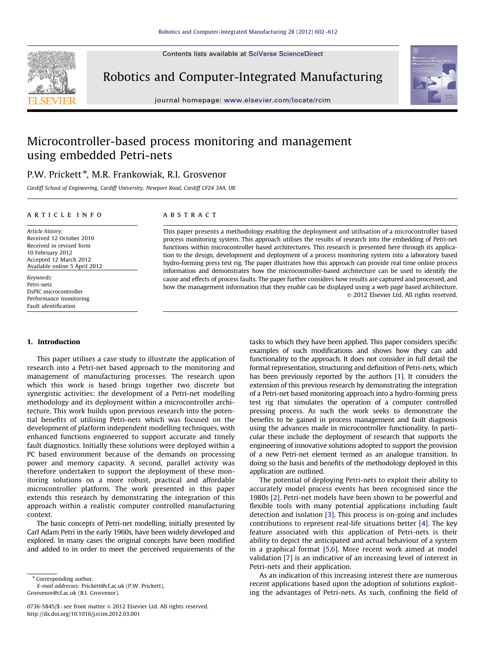Contents lists available at [SciVerse ScienceDirect](www.elsevier.com/locate/rcim)



Robotics and Computer-Integrated Manufacturing



journal homepage: <www.elsevier.com/locate/rcim>

# Microcontroller-based process monitoring and management using embedded Petri-nets

## P.W. Prickett<sup>\*</sup>, M.R. Frankowiak, R.I. Grosvenor

Cardiff School of Engineering, Cardiff University, Newport Road, Cardiff CF24 3AA, UK

## article info

## **ABSTRACT**

Article history: Received 12 October 2010 Received in revised form 10 February 2012 Accepted 12 March 2012 Available online 5 April 2012

Keywords: Petri-nets DsPIC microcontroller Performance monitoring Fault identification

## 1. Introduction

This paper utilises a case study to illustrate the application of research into a Petri-net based approach to the monitoring and management of manufacturing processes. The research upon which this work is based brings together two discrete but synergistic activities: the development of a Petri-net modelling methodology and its deployment within a microcontroller architecture. This work builds upon previous research into the potential benefits of utilising Petri-nets which was focused on the development of platform independent modelling techniques, with enhanced functions engineered to support accurate and timely fault diagnostics. Initially these solutions were deployed within a PC based environment because of the demands on processing power and memory capacity. A second, parallel activity was therefore undertaken to support the deployment of these monitoring solutions on a more robust, practical and affordable microcontroller platform. The work presented in this paper extends this research by demonstrating the integration of this approach within a realistic computer controlled manufacturing context.

The basic concepts of Petri-net modelling, initially presented by Carl Adam Petri in the early 1960s, have been widely developed and explored. In many cases the original concepts have been modified and added to in order to meet the perceived requirements of the

\* Corresponding author. E-mail addresses: [Prickett@cf.ac.uk \(P.W. Prickett\)](mailto:Prickett@cf.ac.uk), [Grosvenor@cf.ac.uk \(R.I. Grosvenor\).](mailto:Grosvenor@cf.ac.uk)

This paper presents a methodology enabling the deployment and utilisation of a microcontroller based process monitoring system. This approach utilises the results of research into the embedding of Petri-net functions within microcontroller based architectures. This research is presented here through its application to the design, development and deployment of a process monitoring system into a laboratory based hydro-forming press test rig. The paper illustrates how this approach can provide real time online process information and demonstrates how the microcontroller-based architecture can be used to identify the cause and effects of process faults. The paper further considers how results are captured and processed, and how the management information that they enable can be displayed using a web page based architecture.  $\odot$  2012 Elsevier Ltd. All rights reserved.

> tasks to which they have been applied. This paper considers specific examples of such modifications and shows how they can add functionality to the approach. It does not consider in full detail the formal representation, structuring and definition of Petri-nets, which has been previously reported by the authors [\[1\].](#page--1-0) It considers the extension of this previous research by demonstrating the integration of a Petri-net based monitoring approach into a hydro-forming press test rig that simulates the operation of a computer controlled pressing process. As such the work seeks to demonstrate the benefits to be gained in process management and fault diagnosis using the advances made in microcontroller functionality. In particular these include the deployment of research that supports the engineering of innovative solutions adopted to support the provision of a new Petri-net element termed as an analogue transition. In doing so the basis and benefits of the methodology deployed in this application are outlined.

> The potential of deploying Petri-nets to exploit their ability to accurately model process events has been recognised since the 1980s [\[2\]](#page--1-0). Petri-net models have been shown to be powerful and flexible tools with many potential applications including fault detection and isolation [\[3\].](#page--1-0) This process is on-going and includes contributions to represent real-life situations better [\[4\]](#page--1-0). The key feature associated with this application of Petri-nets is their ability to depict the anticipated and actual behaviour of a system in a graphical format [\[5,6](#page--1-0)]. More recent work aimed at model validation [\[7\]](#page--1-0) is an indicative of an increasing level of interest in Petri-nets and their application.

> As an indication of this increasing interest there are numerous recent applications based upon the adoption of solutions exploiting the advantages of Petri-nets. As such, confining the field of

<sup>0736-5845/\$ -</sup> see front matter @ 2012 Elsevier Ltd. All rights reserved. http://dx.doi.org/[10.1016/j.rcim.2012.03.001](dx.doi.org/10.1016/j.rcim.2012.03.001)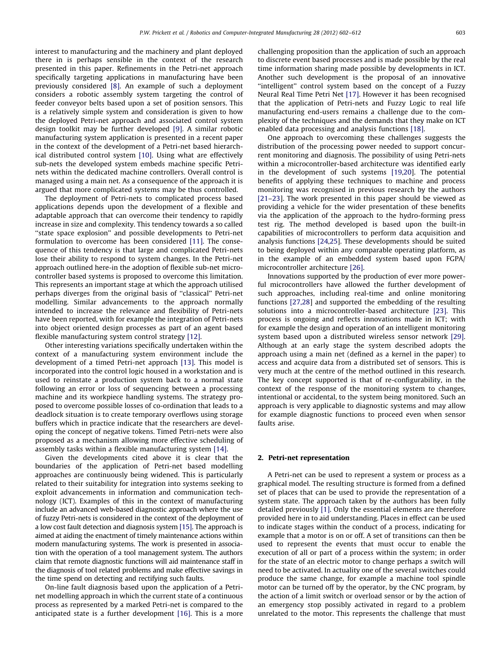interest to manufacturing and the machinery and plant deployed there in is perhaps sensible in the context of the research presented in this paper. Refinements in the Petri-net approach specifically targeting applications in manufacturing have been previously considered [\[8\].](#page--1-0) An example of such a deployment considers a robotic assembly system targeting the control of feeder conveyor belts based upon a set of position sensors. This is a relatively simple system and consideration is given to how the deployed Petri-net approach and associated control system design toolkit may be further developed [\[9\]](#page--1-0). A similar robotic manufacturing system application is presented in a recent paper in the context of the development of a Petri-net based hierarchical distributed control system [\[10\]](#page--1-0). Using what are effectively sub-nets the developed system embeds machine specific Petrinets within the dedicated machine controllers. Overall control is managed using a main net. As a consequence of the approach it is argued that more complicated systems may be thus controlled.

The deployment of Petri-nets to complicated process based applications depends upon the development of a flexible and adaptable approach that can overcome their tendency to rapidly increase in size and complexity. This tendency towards a so called ''state space explosion'' and possible developments to Petri-net formulation to overcome has been considered [\[11\].](#page--1-0) The consequence of this tendency is that large and complicated Petri-nets lose their ability to respond to system changes. In the Petri-net approach outlined here-in the adoption of flexible sub-net microcontroller based systems is proposed to overcome this limitation. This represents an important stage at which the approach utilised perhaps diverges from the original basis of ''classical'' Petri-net modelling. Similar advancements to the approach normally intended to increase the relevance and flexibility of Petri-nets have been reported, with for example the integration of Petri-nets into object oriented design processes as part of an agent based flexible manufacturing system control strategy [\[12\]](#page--1-0).

Other interesting variations specifically undertaken within the context of a manufacturing system environment include the development of a timed Petri-net approach [\[13\]](#page--1-0). This model is incorporated into the control logic housed in a workstation and is used to reinstate a production system back to a normal state following an error or loss of sequencing between a processing machine and its workpiece handling systems. The strategy proposed to overcome possible losses of co-ordination that leads to a deadlock situation is to create temporary overflows using storage buffers which in practice indicate that the researchers are developing the concept of negative tokens. Timed Petri-nets were also proposed as a mechanism allowing more effective scheduling of assembly tasks within a flexible manufacturing system [\[14\].](#page--1-0)

Given the developments cited above it is clear that the boundaries of the application of Petri-net based modelling approaches are continuously being widened. This is particularly related to their suitability for integration into systems seeking to exploit advancements in information and communication technology (ICT). Examples of this in the context of manufacturing include an advanced web-based diagnostic approach where the use of fuzzy Petri-nets is considered in the context of the deployment of a low cost fault detection and diagnosis system [\[15\].](#page--1-0) The approach is aimed at aiding the enactment of timely maintenance actions within modern manufacturing systems. The work is presented in association with the operation of a tool management system. The authors claim that remote diagnostic functions will aid maintenance staff in the diagnosis of tool related problems and make effective savings in the time spend on detecting and rectifying such faults.

On-line fault diagnosis based upon the application of a Petrinet modelling approach in which the current state of a continuous process as represented by a marked Petri-net is compared to the anticipated state is a further development [\[16\]](#page--1-0). This is a more challenging proposition than the application of such an approach to discrete event based processes and is made possible by the real time information sharing made possible by developments in ICT. Another such development is the proposal of an innovative "intelligent" control system based on the concept of a Fuzzy Neural Real Time Petri Net [\[17\].](#page--1-0) However it has been recognised that the application of Petri-nets and Fuzzy Logic to real life manufacturing end-users remains a challenge due to the complexity of the techniques and the demands that they make on ICT enabled data processing and analysis functions [\[18\].](#page--1-0)

One approach to overcoming these challenges suggests the distribution of the processing power needed to support concurrent monitoring and diagnosis. The possibility of using Petri-nets within a microcontroller-based architecture was identified early in the development of such systems [\[19,20](#page--1-0)]. The potential benefits of applying these techniques to machine and process monitoring was recognised in previous research by the authors [\[21–23\]](#page--1-0). The work presented in this paper should be viewed as providing a vehicle for the wider presentation of these benefits via the application of the approach to the hydro-forming press test rig. The method developed is based upon the built-in capabilities of microcontrollers to perform data acquisition and analysis functions [\[24,25](#page--1-0)]. These developments should be suited to being deployed within any comparable operating platform, as in the example of an embedded system based upon FGPA/ microcontroller architecture [\[26\].](#page--1-0)

Innovations supported by the production of ever more powerful microcontrollers have allowed the further development of such approaches, including real-time and online monitoring functions [\[27,28\]](#page--1-0) and supported the embedding of the resulting solutions into a microcontroller-based architecture [\[23\]](#page--1-0). This process is ongoing and reflects innovations made in ICT; with for example the design and operation of an intelligent monitoring system based upon a distributed wireless sensor network [\[29\].](#page--1-0) Although at an early stage the system described adopts the approach using a main net (defined as a kernel in the paper) to access and acquire data from a distributed set of sensors. This is very much at the centre of the method outlined in this research. The key concept supported is that of re-configurability, in the context of the response of the monitoring system to changes, intentional or accidental, to the system being monitored. Such an approach is very applicable to diagnostic systems and may allow for example diagnostic functions to proceed even when sensor faults arise.

#### 2. Petri-net representation

A Petri-net can be used to represent a system or process as a graphical model. The resulting structure is formed from a defined set of places that can be used to provide the representation of a system state. The approach taken by the authors has been fully detailed previously [\[1\].](#page--1-0) Only the essential elements are therefore provided here in to aid understanding. Places in effect can be used to indicate stages within the conduct of a process, indicating for example that a motor is on or off. A set of transitions can then be used to represent the events that must occur to enable the execution of all or part of a process within the system; in order for the state of an electric motor to change perhaps a switch will need to be activated. In actuality one of the several switches could produce the same change, for example a machine tool spindle motor can be turned off by the operator, by the CNC program, by the action of a limit switch or overload sensor or by the action of an emergency stop possibly activated in regard to a problem unrelated to the motor. This represents the challenge that must